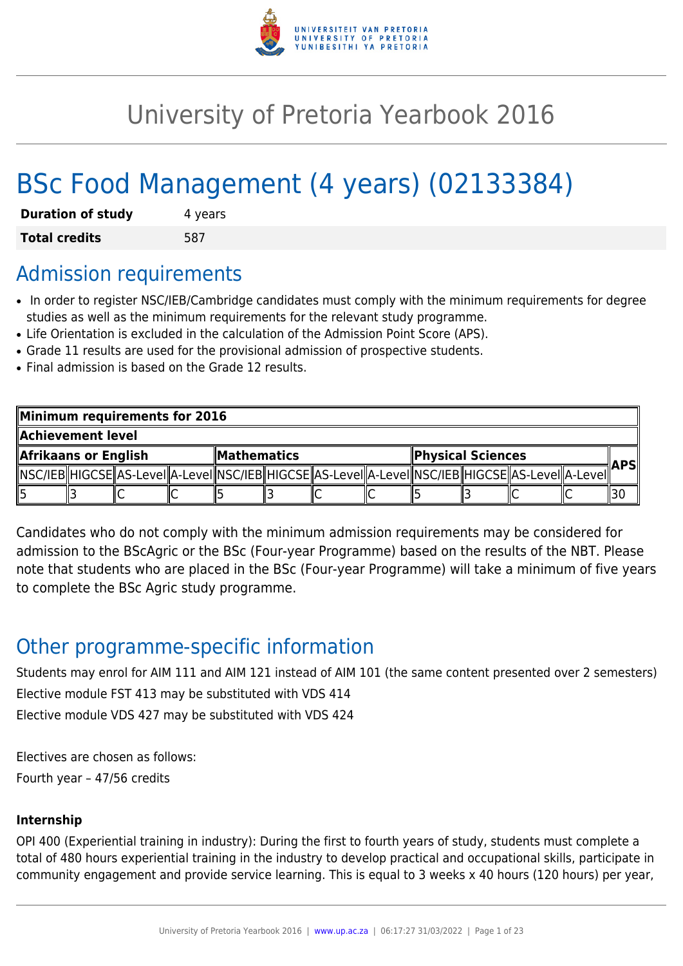

# University of Pretoria Yearbook 2016

# BSc Food Management (4 years) (02133384)

| <b>Duration of study</b> | 4 years |
|--------------------------|---------|
| <b>Total credits</b>     | 587     |

# Admission requirements

- In order to register NSC/IEB/Cambridge candidates must comply with the minimum requirements for degree studies as well as the minimum requirements for the relevant study programme.
- Life Orientation is excluded in the calculation of the Admission Point Score (APS).
- Grade 11 results are used for the provisional admission of prospective students.
- Final admission is based on the Grade 12 results.

| Minimum requirements for 2016 |  |  |              |  |  |                   |  |  |            |                                                                                                              |  |  |
|-------------------------------|--|--|--------------|--|--|-------------------|--|--|------------|--------------------------------------------------------------------------------------------------------------|--|--|
| Achievement level             |  |  |              |  |  |                   |  |  |            |                                                                                                              |  |  |
| Afrikaans or English          |  |  | ∥Mathematics |  |  | Physical Sciences |  |  | <b>APS</b> |                                                                                                              |  |  |
|                               |  |  |              |  |  |                   |  |  |            | [ NSC/IEB  HIGCSE  AS-LeveI  A-LeveI  NSC/IEB  HIGCSE  AS-LeveI  A-LeveI  NSC/IEB  HIGCSE  AS-LeveI  A-LeveI |  |  |
|                               |  |  |              |  |  |                   |  |  |            |                                                                                                              |  |  |

Candidates who do not comply with the minimum admission requirements may be considered for admission to the BScAgric or the BSc (Four-year Programme) based on the results of the NBT. Please note that students who are placed in the BSc (Four-year Programme) will take a minimum of five years to complete the BSc Agric study programme.

# Other programme-specific information

Students may enrol for AIM 111 and AIM 121 instead of AIM 101 (the same content presented over 2 semesters) Elective module FST 413 may be substituted with VDS 414 Elective module VDS 427 may be substituted with VDS 424

Electives are chosen as follows:

Fourth year – 47/56 credits

# **Internship**

OPI 400 (Experiential training in industry): During the first to fourth years of study, students must complete a total of 480 hours experiential training in the industry to develop practical and occupational skills, participate in community engagement and provide service learning. This is equal to 3 weeks x 40 hours (120 hours) per year,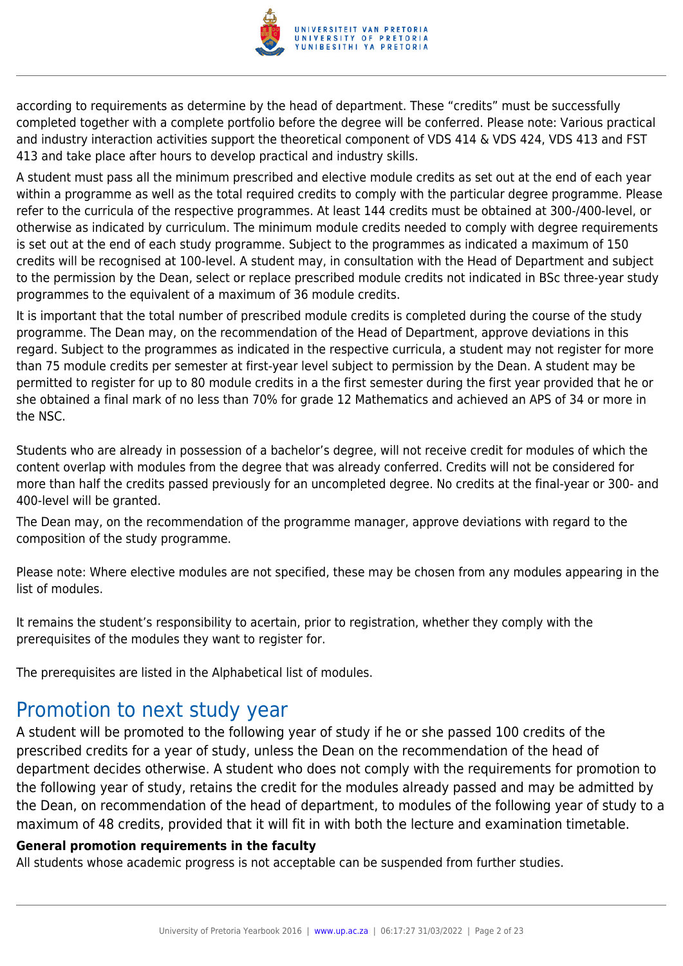

according to requirements as determine by the head of department. These "credits" must be successfully completed together with a complete portfolio before the degree will be conferred. Please note: Various practical and industry interaction activities support the theoretical component of VDS 414 & VDS 424, VDS 413 and FST 413 and take place after hours to develop practical and industry skills.

A student must pass all the minimum prescribed and elective module credits as set out at the end of each year within a programme as well as the total required credits to comply with the particular degree programme. Please refer to the curricula of the respective programmes. At least 144 credits must be obtained at 300-/400-level, or otherwise as indicated by curriculum. The minimum module credits needed to comply with degree requirements is set out at the end of each study programme. Subject to the programmes as indicated a maximum of 150 credits will be recognised at 100-level. A student may, in consultation with the Head of Department and subject to the permission by the Dean, select or replace prescribed module credits not indicated in BSc three-year study programmes to the equivalent of a maximum of 36 module credits.

It is important that the total number of prescribed module credits is completed during the course of the study programme. The Dean may, on the recommendation of the Head of Department, approve deviations in this regard. Subject to the programmes as indicated in the respective curricula, a student may not register for more than 75 module credits per semester at first-year level subject to permission by the Dean. A student may be permitted to register for up to 80 module credits in a the first semester during the first year provided that he or she obtained a final mark of no less than 70% for grade 12 Mathematics and achieved an APS of 34 or more in the NSC.

Students who are already in possession of a bachelor's degree, will not receive credit for modules of which the content overlap with modules from the degree that was already conferred. Credits will not be considered for more than half the credits passed previously for an uncompleted degree. No credits at the final-year or 300- and 400-level will be granted.

The Dean may, on the recommendation of the programme manager, approve deviations with regard to the composition of the study programme.

Please note: Where elective modules are not specified, these may be chosen from any modules appearing in the list of modules.

It remains the student's responsibility to acertain, prior to registration, whether they comply with the prerequisites of the modules they want to register for.

The prerequisites are listed in the Alphabetical list of modules.

# Promotion to next study year

A student will be promoted to the following year of study if he or she passed 100 credits of the prescribed credits for a year of study, unless the Dean on the recommendation of the head of department decides otherwise. A student who does not comply with the requirements for promotion to the following year of study, retains the credit for the modules already passed and may be admitted by the Dean, on recommendation of the head of department, to modules of the following year of study to a maximum of 48 credits, provided that it will fit in with both the lecture and examination timetable.

#### **General promotion requirements in the faculty**

All students whose academic progress is not acceptable can be suspended from further studies.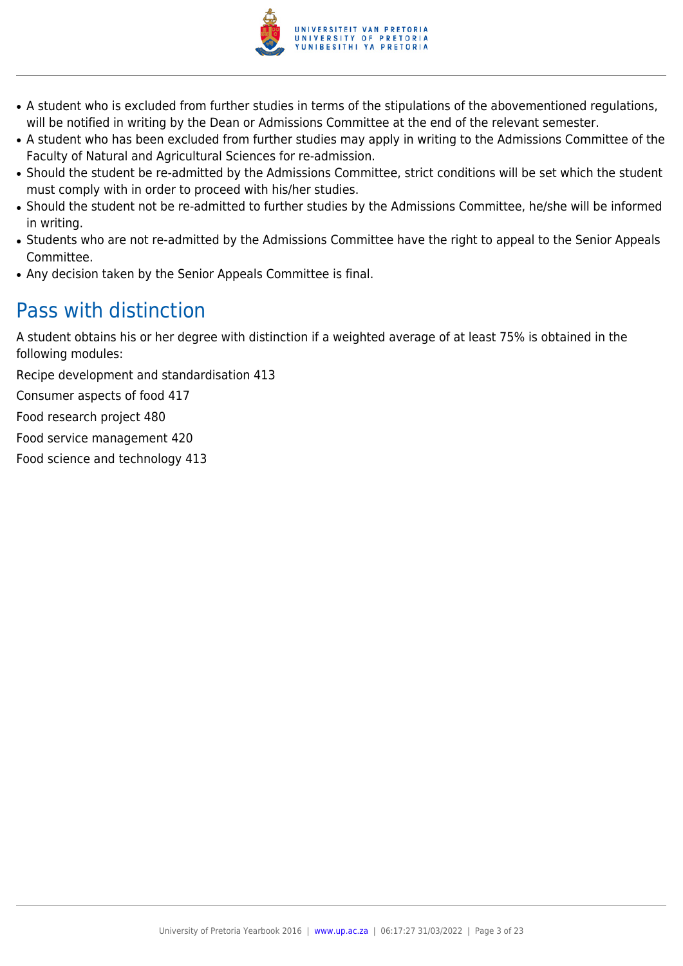

- A student who is excluded from further studies in terms of the stipulations of the abovementioned regulations, will be notified in writing by the Dean or Admissions Committee at the end of the relevant semester.
- A student who has been excluded from further studies may apply in writing to the Admissions Committee of the Faculty of Natural and Agricultural Sciences for re-admission.
- Should the student be re-admitted by the Admissions Committee, strict conditions will be set which the student must comply with in order to proceed with his/her studies.
- Should the student not be re-admitted to further studies by the Admissions Committee, he/she will be informed in writing.
- Students who are not re-admitted by the Admissions Committee have the right to appeal to the Senior Appeals Committee.
- Any decision taken by the Senior Appeals Committee is final.

# Pass with distinction

A student obtains his or her degree with distinction if a weighted average of at least 75% is obtained in the following modules:

Recipe development and standardisation 413

Consumer aspects of food 417

Food research project 480

Food service management 420

Food science and technology 413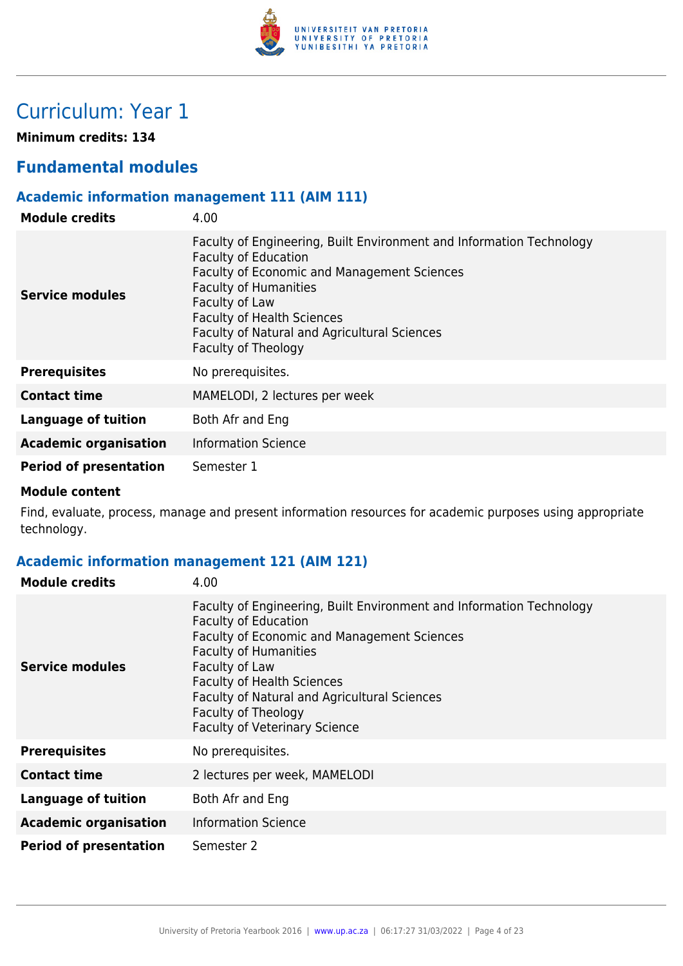

# Curriculum: Year 1

**Minimum credits: 134**

# **Fundamental modules**

# **Academic information management 111 (AIM 111)**

| <b>Module credits</b>         | 4.00                                                                                                                                                                                                                                                                                                                           |
|-------------------------------|--------------------------------------------------------------------------------------------------------------------------------------------------------------------------------------------------------------------------------------------------------------------------------------------------------------------------------|
| Service modules               | Faculty of Engineering, Built Environment and Information Technology<br><b>Faculty of Education</b><br><b>Faculty of Economic and Management Sciences</b><br><b>Faculty of Humanities</b><br>Faculty of Law<br><b>Faculty of Health Sciences</b><br><b>Faculty of Natural and Agricultural Sciences</b><br>Faculty of Theology |
| <b>Prerequisites</b>          | No prerequisites.                                                                                                                                                                                                                                                                                                              |
| <b>Contact time</b>           | MAMELODI, 2 lectures per week                                                                                                                                                                                                                                                                                                  |
| Language of tuition           | Both Afr and Eng                                                                                                                                                                                                                                                                                                               |
| <b>Academic organisation</b>  | <b>Information Science</b>                                                                                                                                                                                                                                                                                                     |
| <b>Period of presentation</b> | Semester 1                                                                                                                                                                                                                                                                                                                     |

#### **Module content**

Find, evaluate, process, manage and present information resources for academic purposes using appropriate technology.

# **Academic information management 121 (AIM 121)**

| <b>Module credits</b>         | 4.00                                                                                                                                                                                                                                                                                                                                                                   |
|-------------------------------|------------------------------------------------------------------------------------------------------------------------------------------------------------------------------------------------------------------------------------------------------------------------------------------------------------------------------------------------------------------------|
| <b>Service modules</b>        | Faculty of Engineering, Built Environment and Information Technology<br><b>Faculty of Education</b><br><b>Faculty of Economic and Management Sciences</b><br><b>Faculty of Humanities</b><br>Faculty of Law<br><b>Faculty of Health Sciences</b><br><b>Faculty of Natural and Agricultural Sciences</b><br>Faculty of Theology<br><b>Faculty of Veterinary Science</b> |
| <b>Prerequisites</b>          | No prerequisites.                                                                                                                                                                                                                                                                                                                                                      |
| <b>Contact time</b>           | 2 lectures per week, MAMELODI                                                                                                                                                                                                                                                                                                                                          |
| <b>Language of tuition</b>    | Both Afr and Eng                                                                                                                                                                                                                                                                                                                                                       |
| <b>Academic organisation</b>  | <b>Information Science</b>                                                                                                                                                                                                                                                                                                                                             |
| <b>Period of presentation</b> | Semester 2                                                                                                                                                                                                                                                                                                                                                             |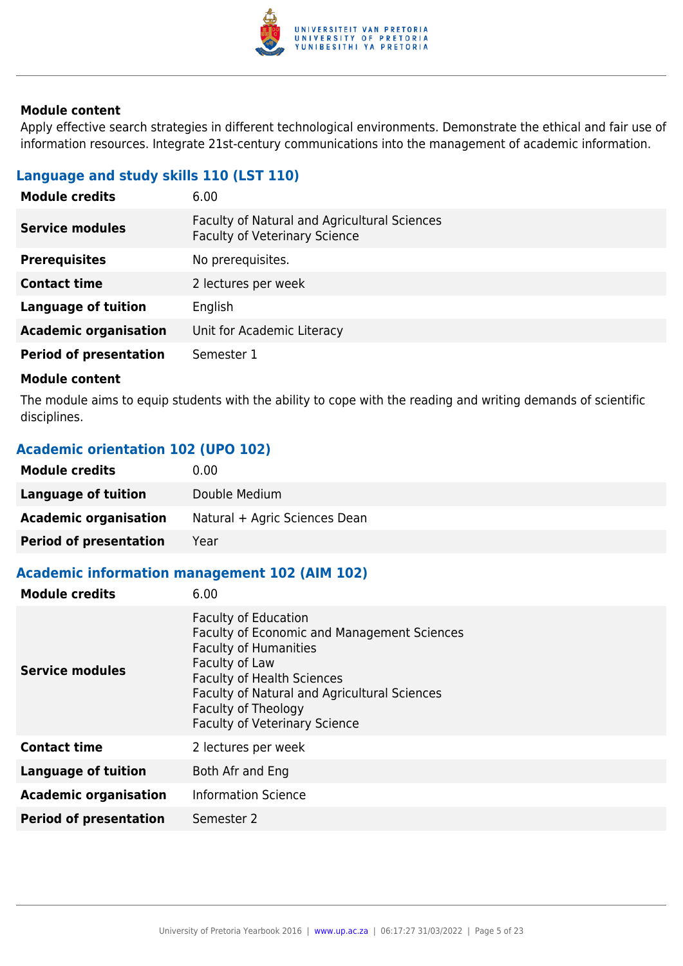

Apply effective search strategies in different technological environments. Demonstrate the ethical and fair use of information resources. Integrate 21st-century communications into the management of academic information.

# **Language and study skills 110 (LST 110)**

| 6.00                                                                                 |
|--------------------------------------------------------------------------------------|
| Faculty of Natural and Agricultural Sciences<br><b>Faculty of Veterinary Science</b> |
| No prerequisites.                                                                    |
| 2 lectures per week                                                                  |
| English                                                                              |
| Unit for Academic Literacy                                                           |
| Semester 1                                                                           |
|                                                                                      |

#### **Module content**

The module aims to equip students with the ability to cope with the reading and writing demands of scientific disciplines.

# **Academic orientation 102 (UPO 102)**

| <b>Module credits</b>         | 0.00                          |
|-------------------------------|-------------------------------|
| Language of tuition           | Double Medium                 |
| <b>Academic organisation</b>  | Natural + Agric Sciences Dean |
| <b>Period of presentation</b> | Year                          |

# **Academic information management 102 (AIM 102)**

| <b>Module credits</b>         | 6.00                                                                                                                                                                                                                                                                                    |
|-------------------------------|-----------------------------------------------------------------------------------------------------------------------------------------------------------------------------------------------------------------------------------------------------------------------------------------|
| <b>Service modules</b>        | <b>Faculty of Education</b><br><b>Faculty of Economic and Management Sciences</b><br><b>Faculty of Humanities</b><br>Faculty of Law<br><b>Faculty of Health Sciences</b><br>Faculty of Natural and Agricultural Sciences<br>Faculty of Theology<br><b>Faculty of Veterinary Science</b> |
| <b>Contact time</b>           | 2 lectures per week                                                                                                                                                                                                                                                                     |
| Language of tuition           | Both Afr and Eng                                                                                                                                                                                                                                                                        |
| <b>Academic organisation</b>  | <b>Information Science</b>                                                                                                                                                                                                                                                              |
| <b>Period of presentation</b> | Semester 2                                                                                                                                                                                                                                                                              |
|                               |                                                                                                                                                                                                                                                                                         |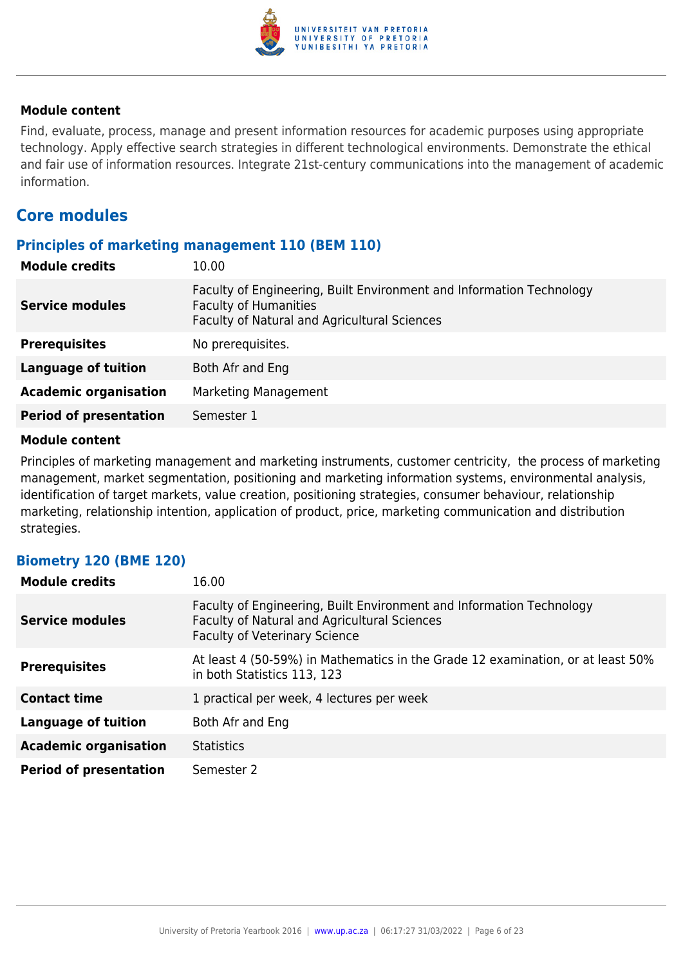

Find, evaluate, process, manage and present information resources for academic purposes using appropriate technology. Apply effective search strategies in different technological environments. Demonstrate the ethical and fair use of information resources. Integrate 21st-century communications into the management of academic information.

# **Core modules**

#### **Principles of marketing management 110 (BEM 110)**

| <b>Module credits</b>         | 10.00                                                                                                                                                |
|-------------------------------|------------------------------------------------------------------------------------------------------------------------------------------------------|
| <b>Service modules</b>        | Faculty of Engineering, Built Environment and Information Technology<br><b>Faculty of Humanities</b><br>Faculty of Natural and Agricultural Sciences |
| <b>Prerequisites</b>          | No prerequisites.                                                                                                                                    |
| <b>Language of tuition</b>    | Both Afr and Eng                                                                                                                                     |
| <b>Academic organisation</b>  | <b>Marketing Management</b>                                                                                                                          |
| <b>Period of presentation</b> | Semester 1                                                                                                                                           |

#### **Module content**

Principles of marketing management and marketing instruments, customer centricity, the process of marketing management, market segmentation, positioning and marketing information systems, environmental analysis, identification of target markets, value creation, positioning strategies, consumer behaviour, relationship marketing, relationship intention, application of product, price, marketing communication and distribution strategies.

# **Biometry 120 (BME 120)**

| <b>Module credits</b>         | 16.00                                                                                                                                                        |
|-------------------------------|--------------------------------------------------------------------------------------------------------------------------------------------------------------|
| <b>Service modules</b>        | Faculty of Engineering, Built Environment and Information Technology<br>Faculty of Natural and Agricultural Sciences<br><b>Faculty of Veterinary Science</b> |
| <b>Prerequisites</b>          | At least 4 (50-59%) in Mathematics in the Grade 12 examination, or at least 50%<br>in both Statistics 113, 123                                               |
| <b>Contact time</b>           | 1 practical per week, 4 lectures per week                                                                                                                    |
| Language of tuition           | Both Afr and Eng                                                                                                                                             |
| <b>Academic organisation</b>  | <b>Statistics</b>                                                                                                                                            |
| <b>Period of presentation</b> | Semester 2                                                                                                                                                   |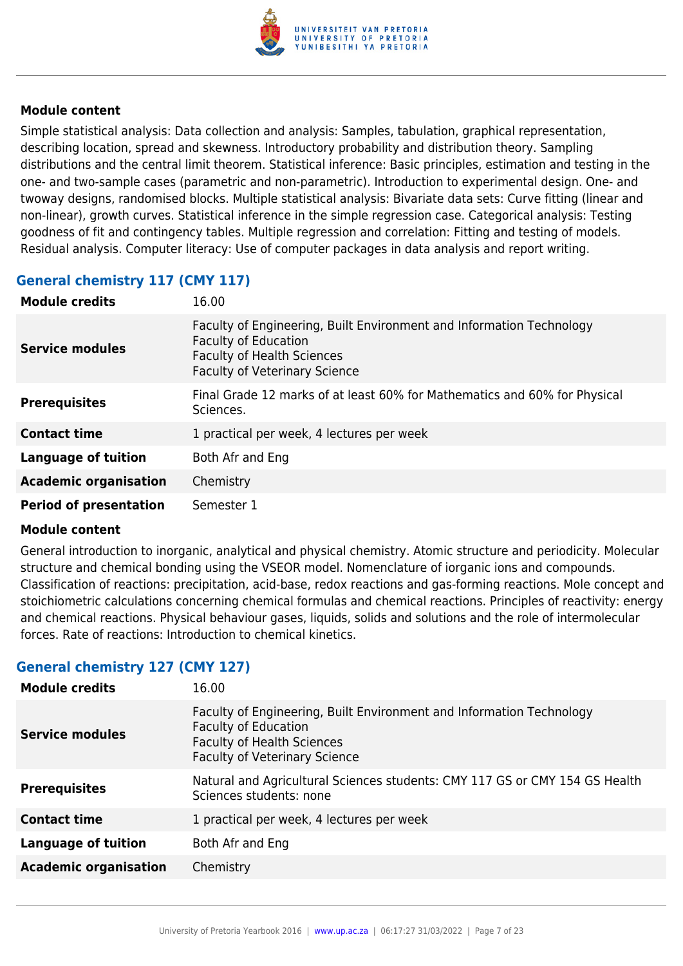

Simple statistical analysis: Data collection and analysis: Samples, tabulation, graphical representation, describing location, spread and skewness. Introductory probability and distribution theory. Sampling distributions and the central limit theorem. Statistical inference: Basic principles, estimation and testing in the one- and two-sample cases (parametric and non-parametric). Introduction to experimental design. One- and twoway designs, randomised blocks. Multiple statistical analysis: Bivariate data sets: Curve fitting (linear and non-linear), growth curves. Statistical inference in the simple regression case. Categorical analysis: Testing goodness of fit and contingency tables. Multiple regression and correlation: Fitting and testing of models. Residual analysis. Computer literacy: Use of computer packages in data analysis and report writing.

# **General chemistry 117 (CMY 117)**

| <b>Module credits</b>         | 16.00                                                                                                                                                                            |
|-------------------------------|----------------------------------------------------------------------------------------------------------------------------------------------------------------------------------|
| <b>Service modules</b>        | Faculty of Engineering, Built Environment and Information Technology<br><b>Faculty of Education</b><br><b>Faculty of Health Sciences</b><br><b>Faculty of Veterinary Science</b> |
| <b>Prerequisites</b>          | Final Grade 12 marks of at least 60% for Mathematics and 60% for Physical<br>Sciences.                                                                                           |
| <b>Contact time</b>           | 1 practical per week, 4 lectures per week                                                                                                                                        |
| <b>Language of tuition</b>    | Both Afr and Eng                                                                                                                                                                 |
| <b>Academic organisation</b>  | Chemistry                                                                                                                                                                        |
| <b>Period of presentation</b> | Semester 1                                                                                                                                                                       |

#### **Module content**

General introduction to inorganic, analytical and physical chemistry. Atomic structure and periodicity. Molecular structure and chemical bonding using the VSEOR model. Nomenclature of iorganic ions and compounds. Classification of reactions: precipitation, acid-base, redox reactions and gas-forming reactions. Mole concept and stoichiometric calculations concerning chemical formulas and chemical reactions. Principles of reactivity: energy and chemical reactions. Physical behaviour gases, liquids, solids and solutions and the role of intermolecular forces. Rate of reactions: Introduction to chemical kinetics.

# **General chemistry 127 (CMY 127)**

| <b>Module credits</b><br>16.00 |                                                                                                                                                                                  |
|--------------------------------|----------------------------------------------------------------------------------------------------------------------------------------------------------------------------------|
| <b>Service modules</b>         | Faculty of Engineering, Built Environment and Information Technology<br><b>Faculty of Education</b><br><b>Faculty of Health Sciences</b><br><b>Faculty of Veterinary Science</b> |
| <b>Prerequisites</b>           | Natural and Agricultural Sciences students: CMY 117 GS or CMY 154 GS Health<br>Sciences students: none                                                                           |
| <b>Contact time</b>            | 1 practical per week, 4 lectures per week                                                                                                                                        |
| <b>Language of tuition</b>     | Both Afr and Eng                                                                                                                                                                 |
| <b>Academic organisation</b>   | Chemistry                                                                                                                                                                        |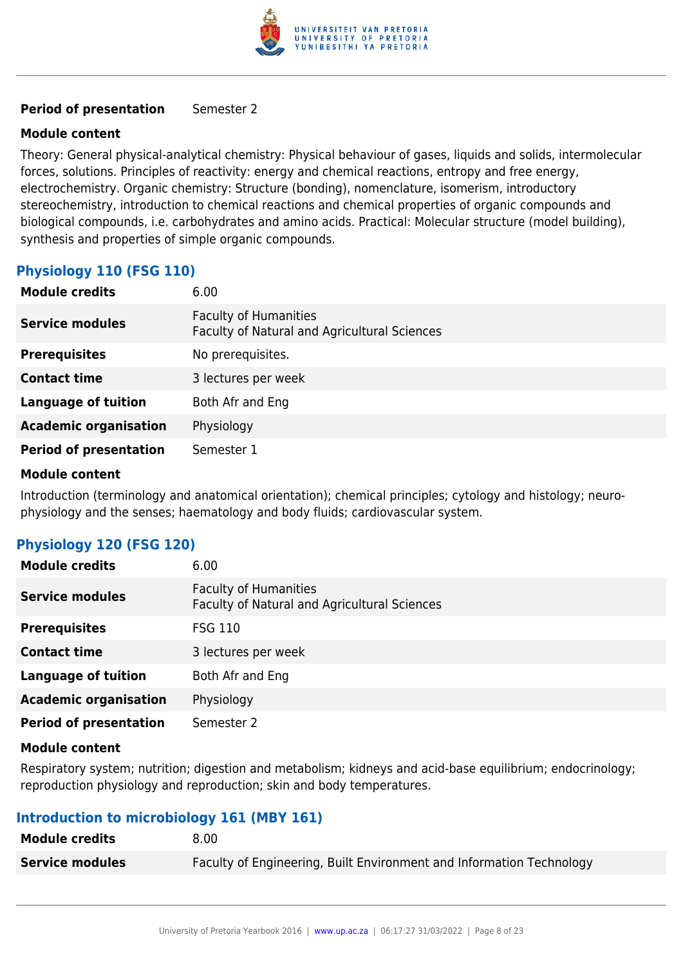

#### **Period of presentation** Semester 2

#### **Module content**

Theory: General physical-analytical chemistry: Physical behaviour of gases, liquids and solids, intermolecular forces, solutions. Principles of reactivity: energy and chemical reactions, entropy and free energy, electrochemistry. Organic chemistry: Structure (bonding), nomenclature, isomerism, introductory stereochemistry, introduction to chemical reactions and chemical properties of organic compounds and biological compounds, i.e. carbohydrates and amino acids. Practical: Molecular structure (model building), synthesis and properties of simple organic compounds.

# **Physiology 110 (FSG 110)**

| <b>Module credits</b>         | 6.00                                                                         |
|-------------------------------|------------------------------------------------------------------------------|
| <b>Service modules</b>        | <b>Faculty of Humanities</b><br>Faculty of Natural and Agricultural Sciences |
| <b>Prerequisites</b>          | No prerequisites.                                                            |
| <b>Contact time</b>           | 3 lectures per week                                                          |
| <b>Language of tuition</b>    | Both Afr and Eng                                                             |
| <b>Academic organisation</b>  | Physiology                                                                   |
| <b>Period of presentation</b> | Semester 1                                                                   |

#### **Module content**

Introduction (terminology and anatomical orientation); chemical principles; cytology and histology; neurophysiology and the senses; haematology and body fluids; cardiovascular system.

# **Physiology 120 (FSG 120)**

| <b>Module credits</b>         | 6.00                                                                         |
|-------------------------------|------------------------------------------------------------------------------|
| <b>Service modules</b>        | <b>Faculty of Humanities</b><br>Faculty of Natural and Agricultural Sciences |
| <b>Prerequisites</b>          | <b>FSG 110</b>                                                               |
| <b>Contact time</b>           | 3 lectures per week                                                          |
| <b>Language of tuition</b>    | Both Afr and Eng                                                             |
| <b>Academic organisation</b>  | Physiology                                                                   |
| <b>Period of presentation</b> | Semester 2                                                                   |

#### **Module content**

Respiratory system; nutrition; digestion and metabolism; kidneys and acid-base equilibrium; endocrinology; reproduction physiology and reproduction; skin and body temperatures.

# **Introduction to microbiology 161 (MBY 161)**

| <b>Module credits</b>  | 8.00                                                                 |
|------------------------|----------------------------------------------------------------------|
| <b>Service modules</b> | Faculty of Engineering, Built Environment and Information Technology |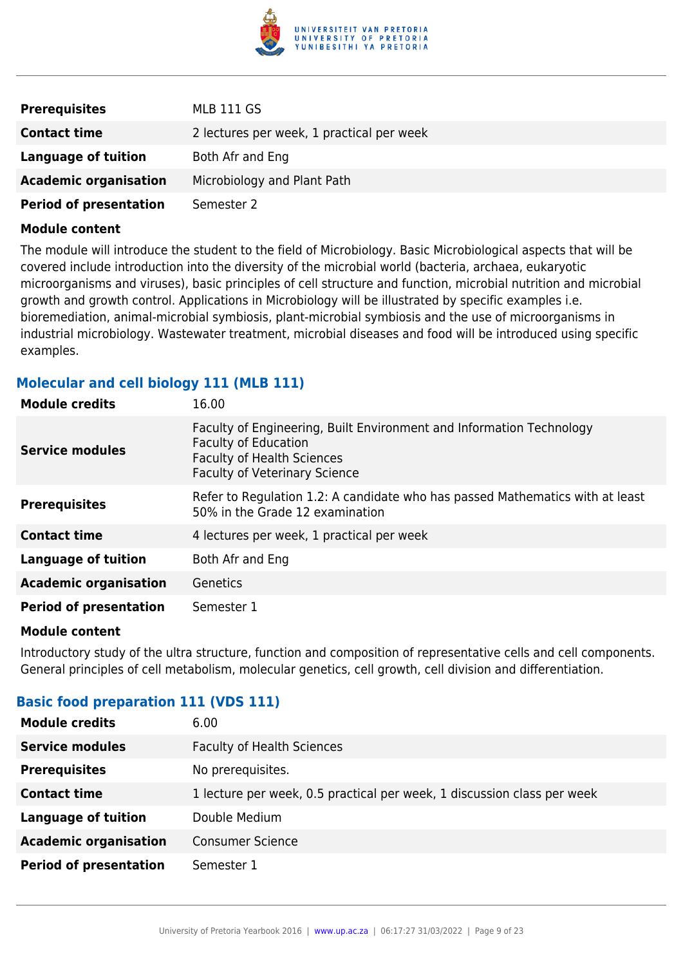

| <b>Prerequisites</b>          | MLB 111 GS                                |
|-------------------------------|-------------------------------------------|
| <b>Contact time</b>           | 2 lectures per week, 1 practical per week |
| Language of tuition           | Both Afr and Eng                          |
| <b>Academic organisation</b>  | Microbiology and Plant Path               |
| <b>Period of presentation</b> | Semester 2                                |

The module will introduce the student to the field of Microbiology. Basic Microbiological aspects that will be covered include introduction into the diversity of the microbial world (bacteria, archaea, eukaryotic microorganisms and viruses), basic principles of cell structure and function, microbial nutrition and microbial growth and growth control. Applications in Microbiology will be illustrated by specific examples i.e. bioremediation, animal-microbial symbiosis, plant-microbial symbiosis and the use of microorganisms in industrial microbiology. Wastewater treatment, microbial diseases and food will be introduced using specific examples.

# **Molecular and cell biology 111 (MLB 111)**

| <b>Module credits</b>         | 16.00                                                                                                                                                                            |
|-------------------------------|----------------------------------------------------------------------------------------------------------------------------------------------------------------------------------|
| Service modules               | Faculty of Engineering, Built Environment and Information Technology<br><b>Faculty of Education</b><br><b>Faculty of Health Sciences</b><br><b>Faculty of Veterinary Science</b> |
| <b>Prerequisites</b>          | Refer to Regulation 1.2: A candidate who has passed Mathematics with at least<br>50% in the Grade 12 examination                                                                 |
| <b>Contact time</b>           | 4 lectures per week, 1 practical per week                                                                                                                                        |
| <b>Language of tuition</b>    | Both Afr and Eng                                                                                                                                                                 |
| <b>Academic organisation</b>  | Genetics                                                                                                                                                                         |
| <b>Period of presentation</b> | Semester 1                                                                                                                                                                       |

#### **Module content**

Introductory study of the ultra structure, function and composition of representative cells and cell components. General principles of cell metabolism, molecular genetics, cell growth, cell division and differentiation.

# **Basic food preparation 111 (VDS 111)**

| <b>Module credits</b>         | 6.00                                                                    |
|-------------------------------|-------------------------------------------------------------------------|
| <b>Service modules</b>        | <b>Faculty of Health Sciences</b>                                       |
| <b>Prerequisites</b>          | No prerequisites.                                                       |
| <b>Contact time</b>           | 1 lecture per week, 0.5 practical per week, 1 discussion class per week |
| <b>Language of tuition</b>    | Double Medium                                                           |
| <b>Academic organisation</b>  | <b>Consumer Science</b>                                                 |
| <b>Period of presentation</b> | Semester 1                                                              |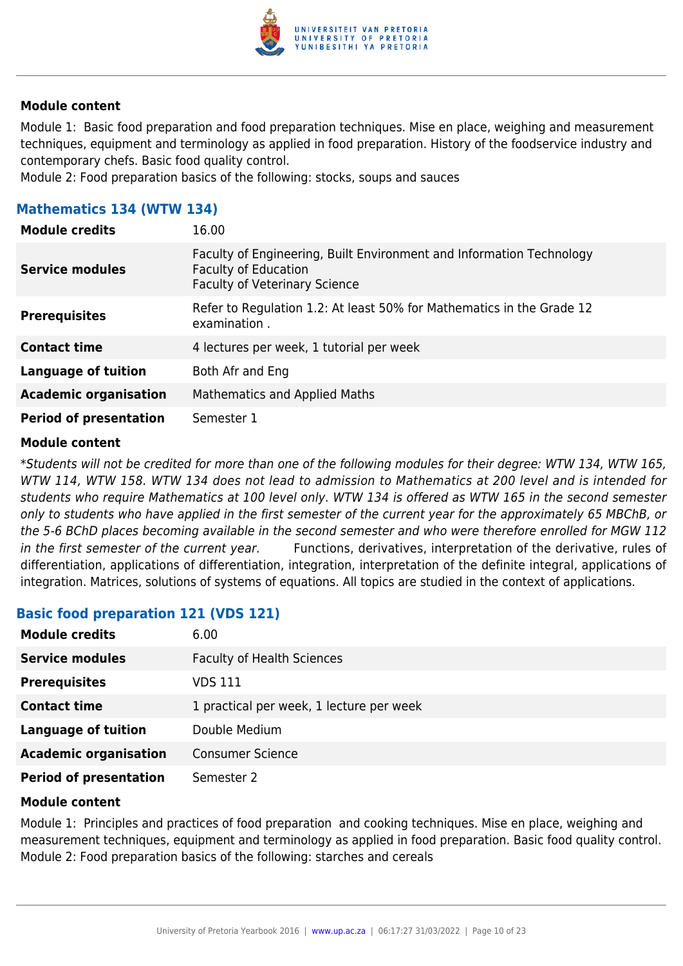

Module 1: Basic food preparation and food preparation techniques. Mise en place, weighing and measurement techniques, equipment and terminology as applied in food preparation. History of the foodservice industry and contemporary chefs. Basic food quality control.

Module 2: Food preparation basics of the following: stocks, soups and sauces

### **Mathematics 134 (WTW 134)**

| <b>Module credits</b>         | 16.00                                                                                                                                       |
|-------------------------------|---------------------------------------------------------------------------------------------------------------------------------------------|
| <b>Service modules</b>        | Faculty of Engineering, Built Environment and Information Technology<br><b>Faculty of Education</b><br><b>Faculty of Veterinary Science</b> |
| <b>Prerequisites</b>          | Refer to Regulation 1.2: At least 50% for Mathematics in the Grade 12<br>examination.                                                       |
| <b>Contact time</b>           | 4 lectures per week, 1 tutorial per week                                                                                                    |
| Language of tuition           | Both Afr and Eng                                                                                                                            |
| <b>Academic organisation</b>  | Mathematics and Applied Maths                                                                                                               |
| <b>Period of presentation</b> | Semester 1                                                                                                                                  |

#### **Module content**

\*Students will not be credited for more than one of the following modules for their degree: WTW 134, WTW 165, WTW 114, WTW 158. WTW 134 does not lead to admission to Mathematics at 200 level and is intended for students who require Mathematics at 100 level only. WTW 134 is offered as WTW 165 in the second semester only to students who have applied in the first semester of the current year for the approximately 65 MBChB, or the 5-6 BChD places becoming available in the second semester and who were therefore enrolled for MGW 112 in the first semester of the current year. Functions, derivatives, interpretation of the derivative, rules of differentiation, applications of differentiation, integration, interpretation of the definite integral, applications of integration. Matrices, solutions of systems of equations. All topics are studied in the context of applications.

#### **Basic food preparation 121 (VDS 121)**

| <b>Module credits</b>         | 6.00                                     |
|-------------------------------|------------------------------------------|
| <b>Service modules</b>        | <b>Faculty of Health Sciences</b>        |
| <b>Prerequisites</b>          | VDS 111                                  |
| <b>Contact time</b>           | 1 practical per week, 1 lecture per week |
| <b>Language of tuition</b>    | Double Medium                            |
| <b>Academic organisation</b>  | <b>Consumer Science</b>                  |
| <b>Period of presentation</b> | Semester 2                               |

#### **Module content**

Module 1: Principles and practices of food preparation and cooking techniques. Mise en place, weighing and measurement techniques, equipment and terminology as applied in food preparation. Basic food quality control. Module 2: Food preparation basics of the following: starches and cereals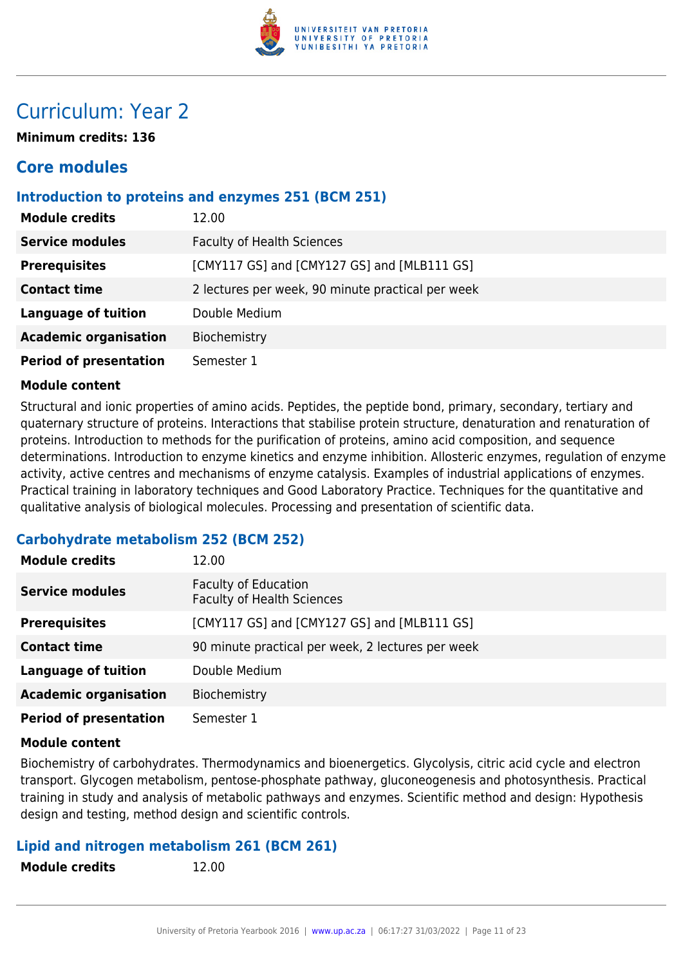

# Curriculum: Year 2

**Minimum credits: 136**

# **Core modules**

### **Introduction to proteins and enzymes 251 (BCM 251)**

| <b>Module credits</b>         | 12.00                                             |
|-------------------------------|---------------------------------------------------|
| <b>Service modules</b>        | <b>Faculty of Health Sciences</b>                 |
| <b>Prerequisites</b>          | [CMY117 GS] and [CMY127 GS] and [MLB111 GS]       |
| <b>Contact time</b>           | 2 lectures per week, 90 minute practical per week |
| <b>Language of tuition</b>    | Double Medium                                     |
| <b>Academic organisation</b>  | Biochemistry                                      |
| <b>Period of presentation</b> | Semester 1                                        |

#### **Module content**

Structural and ionic properties of amino acids. Peptides, the peptide bond, primary, secondary, tertiary and quaternary structure of proteins. Interactions that stabilise protein structure, denaturation and renaturation of proteins. Introduction to methods for the purification of proteins, amino acid composition, and sequence determinations. Introduction to enzyme kinetics and enzyme inhibition. Allosteric enzymes, regulation of enzyme activity, active centres and mechanisms of enzyme catalysis. Examples of industrial applications of enzymes. Practical training in laboratory techniques and Good Laboratory Practice. Techniques for the quantitative and qualitative analysis of biological molecules. Processing and presentation of scientific data.

# **Carbohydrate metabolism 252 (BCM 252)**

| <b>Module credits</b>         | 12.00                                                            |
|-------------------------------|------------------------------------------------------------------|
| <b>Service modules</b>        | <b>Faculty of Education</b><br><b>Faculty of Health Sciences</b> |
| <b>Prerequisites</b>          | [CMY117 GS] and [CMY127 GS] and [MLB111 GS]                      |
| <b>Contact time</b>           | 90 minute practical per week, 2 lectures per week                |
| <b>Language of tuition</b>    | Double Medium                                                    |
| <b>Academic organisation</b>  | Biochemistry                                                     |
| <b>Period of presentation</b> | Semester 1                                                       |

#### **Module content**

Biochemistry of carbohydrates. Thermodynamics and bioenergetics. Glycolysis, citric acid cycle and electron transport. Glycogen metabolism, pentose-phosphate pathway, gluconeogenesis and photosynthesis. Practical training in study and analysis of metabolic pathways and enzymes. Scientific method and design: Hypothesis design and testing, method design and scientific controls.

#### **Lipid and nitrogen metabolism 261 (BCM 261)**

**Module credits** 12.00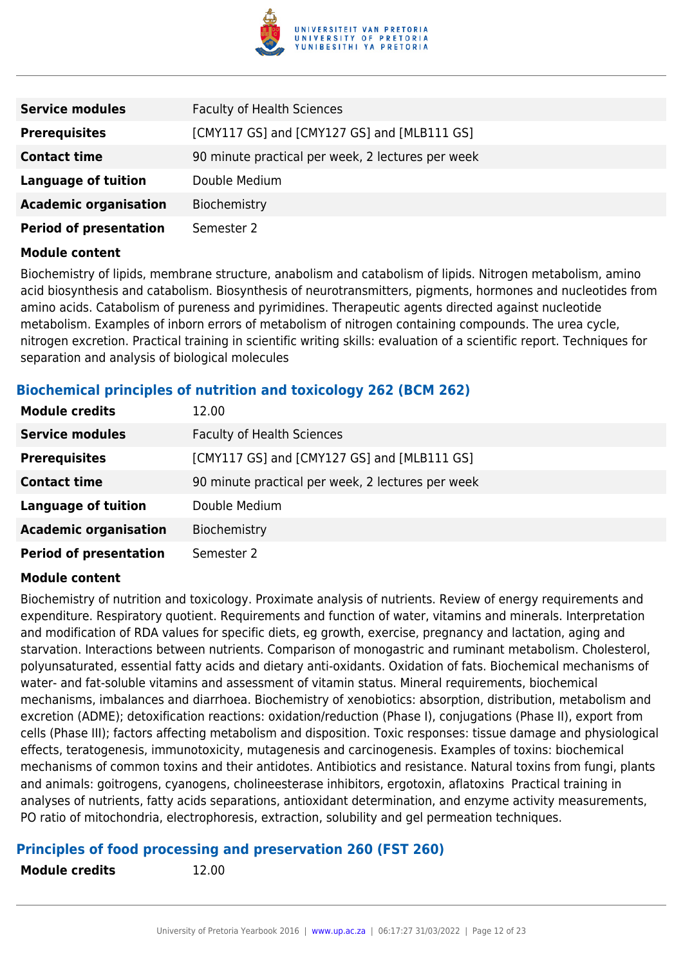

| <b>Service modules</b>        | <b>Faculty of Health Sciences</b>                 |
|-------------------------------|---------------------------------------------------|
| <b>Prerequisites</b>          | [CMY117 GS] and [CMY127 GS] and [MLB111 GS]       |
| <b>Contact time</b>           | 90 minute practical per week, 2 lectures per week |
| <b>Language of tuition</b>    | Double Medium                                     |
| <b>Academic organisation</b>  | Biochemistry                                      |
| <b>Period of presentation</b> | Semester 2                                        |

Biochemistry of lipids, membrane structure, anabolism and catabolism of lipids. Nitrogen metabolism, amino acid biosynthesis and catabolism. Biosynthesis of neurotransmitters, pigments, hormones and nucleotides from amino acids. Catabolism of pureness and pyrimidines. Therapeutic agents directed against nucleotide metabolism. Examples of inborn errors of metabolism of nitrogen containing compounds. The urea cycle, nitrogen excretion. Practical training in scientific writing skills: evaluation of a scientific report. Techniques for separation and analysis of biological molecules

# **Biochemical principles of nutrition and toxicology 262 (BCM 262)**

| <b>Module credits</b>         | 12.00                                             |
|-------------------------------|---------------------------------------------------|
| <b>Service modules</b>        | <b>Faculty of Health Sciences</b>                 |
| <b>Prerequisites</b>          | [CMY117 GS] and [CMY127 GS] and [MLB111 GS]       |
| <b>Contact time</b>           | 90 minute practical per week, 2 lectures per week |
| <b>Language of tuition</b>    | Double Medium                                     |
| <b>Academic organisation</b>  | Biochemistry                                      |
| <b>Period of presentation</b> | Semester 2                                        |

#### **Module content**

Biochemistry of nutrition and toxicology. Proximate analysis of nutrients. Review of energy requirements and expenditure. Respiratory quotient. Requirements and function of water, vitamins and minerals. Interpretation and modification of RDA values for specific diets, eg growth, exercise, pregnancy and lactation, aging and starvation. Interactions between nutrients. Comparison of monogastric and ruminant metabolism. Cholesterol, polyunsaturated, essential fatty acids and dietary anti-oxidants. Oxidation of fats. Biochemical mechanisms of water- and fat-soluble vitamins and assessment of vitamin status. Mineral requirements, biochemical mechanisms, imbalances and diarrhoea. Biochemistry of xenobiotics: absorption, distribution, metabolism and excretion (ADME); detoxification reactions: oxidation/reduction (Phase I), conjugations (Phase II), export from cells (Phase III); factors affecting metabolism and disposition. Toxic responses: tissue damage and physiological effects, teratogenesis, immunotoxicity, mutagenesis and carcinogenesis. Examples of toxins: biochemical mechanisms of common toxins and their antidotes. Antibiotics and resistance. Natural toxins from fungi, plants and animals: goitrogens, cyanogens, cholineesterase inhibitors, ergotoxin, aflatoxins Practical training in analyses of nutrients, fatty acids separations, antioxidant determination, and enzyme activity measurements, PO ratio of mitochondria, electrophoresis, extraction, solubility and gel permeation techniques.

#### **Principles of food processing and preservation 260 (FST 260)**

**Module credits** 12.00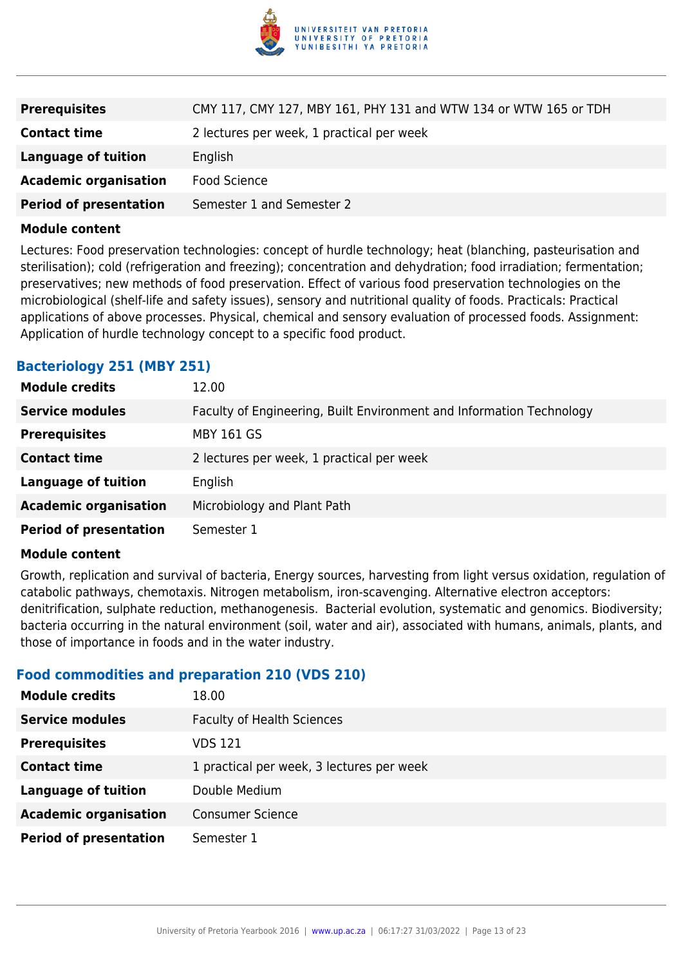

| <b>Prerequisites</b>          | CMY 117, CMY 127, MBY 161, PHY 131 and WTW 134 or WTW 165 or TDH |
|-------------------------------|------------------------------------------------------------------|
| <b>Contact time</b>           | 2 lectures per week, 1 practical per week                        |
| <b>Language of tuition</b>    | English                                                          |
| <b>Academic organisation</b>  | Food Science                                                     |
| <b>Period of presentation</b> | Semester 1 and Semester 2                                        |

Lectures: Food preservation technologies: concept of hurdle technology; heat (blanching, pasteurisation and sterilisation); cold (refrigeration and freezing); concentration and dehydration; food irradiation; fermentation; preservatives; new methods of food preservation. Effect of various food preservation technologies on the microbiological (shelf-life and safety issues), sensory and nutritional quality of foods. Practicals: Practical applications of above processes. Physical, chemical and sensory evaluation of processed foods. Assignment: Application of hurdle technology concept to a specific food product.

# **Bacteriology 251 (MBY 251)**

| <b>Module credits</b>         | 12.00                                                                |
|-------------------------------|----------------------------------------------------------------------|
| <b>Service modules</b>        | Faculty of Engineering, Built Environment and Information Technology |
| <b>Prerequisites</b>          | <b>MBY 161 GS</b>                                                    |
| <b>Contact time</b>           | 2 lectures per week, 1 practical per week                            |
| <b>Language of tuition</b>    | English                                                              |
| <b>Academic organisation</b>  | Microbiology and Plant Path                                          |
| <b>Period of presentation</b> | Semester 1                                                           |

#### **Module content**

Growth, replication and survival of bacteria, Energy sources, harvesting from light versus oxidation, regulation of catabolic pathways, chemotaxis. Nitrogen metabolism, iron-scavenging. Alternative electron acceptors: denitrification, sulphate reduction, methanogenesis. Bacterial evolution, systematic and genomics. Biodiversity; bacteria occurring in the natural environment (soil, water and air), associated with humans, animals, plants, and those of importance in foods and in the water industry.

#### **Food commodities and preparation 210 (VDS 210)**

| <b>Module credits</b>         | 18.00                                     |
|-------------------------------|-------------------------------------------|
| <b>Service modules</b>        | <b>Faculty of Health Sciences</b>         |
| <b>Prerequisites</b>          | VDS 121                                   |
| <b>Contact time</b>           | 1 practical per week, 3 lectures per week |
| <b>Language of tuition</b>    | Double Medium                             |
| <b>Academic organisation</b>  | <b>Consumer Science</b>                   |
| <b>Period of presentation</b> | Semester 1                                |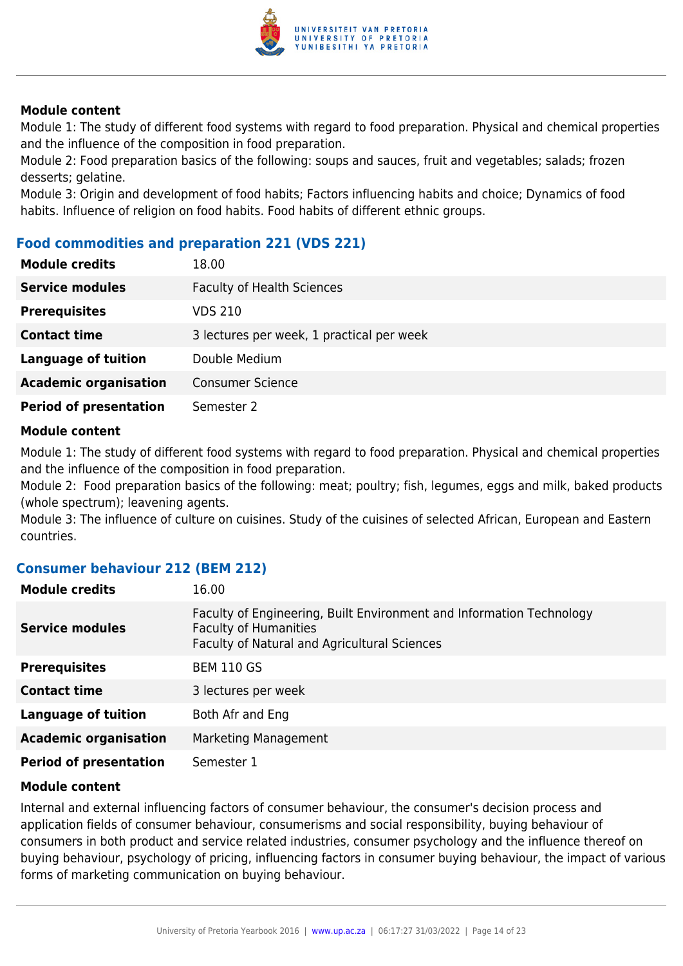

Module 1: The study of different food systems with regard to food preparation. Physical and chemical properties and the influence of the composition in food preparation.

Module 2: Food preparation basics of the following: soups and sauces, fruit and vegetables; salads; frozen desserts; gelatine.

Module 3: Origin and development of food habits; Factors influencing habits and choice; Dynamics of food habits. Influence of religion on food habits. Food habits of different ethnic groups.

# **Food commodities and preparation 221 (VDS 221)**

| <b>Module credits</b>         | 18.00                                     |
|-------------------------------|-------------------------------------------|
| <b>Service modules</b>        | <b>Faculty of Health Sciences</b>         |
| <b>Prerequisites</b>          | VDS 210                                   |
| <b>Contact time</b>           | 3 lectures per week, 1 practical per week |
| <b>Language of tuition</b>    | Double Medium                             |
| <b>Academic organisation</b>  | <b>Consumer Science</b>                   |
| <b>Period of presentation</b> | Semester 2                                |

#### **Module content**

Module 1: The study of different food systems with regard to food preparation. Physical and chemical properties and the influence of the composition in food preparation.

Module 2: Food preparation basics of the following: meat; poultry; fish, legumes, eggs and milk, baked products (whole spectrum); leavening agents.

Module 3: The influence of culture on cuisines. Study of the cuisines of selected African, European and Eastern countries.

# **Consumer behaviour 212 (BEM 212)**

| <b>Module credits</b>         | 16.00                                                                                                                                                |
|-------------------------------|------------------------------------------------------------------------------------------------------------------------------------------------------|
| <b>Service modules</b>        | Faculty of Engineering, Built Environment and Information Technology<br><b>Faculty of Humanities</b><br>Faculty of Natural and Agricultural Sciences |
| <b>Prerequisites</b>          | <b>BEM 110 GS</b>                                                                                                                                    |
| <b>Contact time</b>           | 3 lectures per week                                                                                                                                  |
| <b>Language of tuition</b>    | Both Afr and Eng                                                                                                                                     |
| <b>Academic organisation</b>  | Marketing Management                                                                                                                                 |
| <b>Period of presentation</b> | Semester 1                                                                                                                                           |

#### **Module content**

Internal and external influencing factors of consumer behaviour, the consumer's decision process and application fields of consumer behaviour, consumerisms and social responsibility, buying behaviour of consumers in both product and service related industries, consumer psychology and the influence thereof on buying behaviour, psychology of pricing, influencing factors in consumer buying behaviour, the impact of various forms of marketing communication on buying behaviour.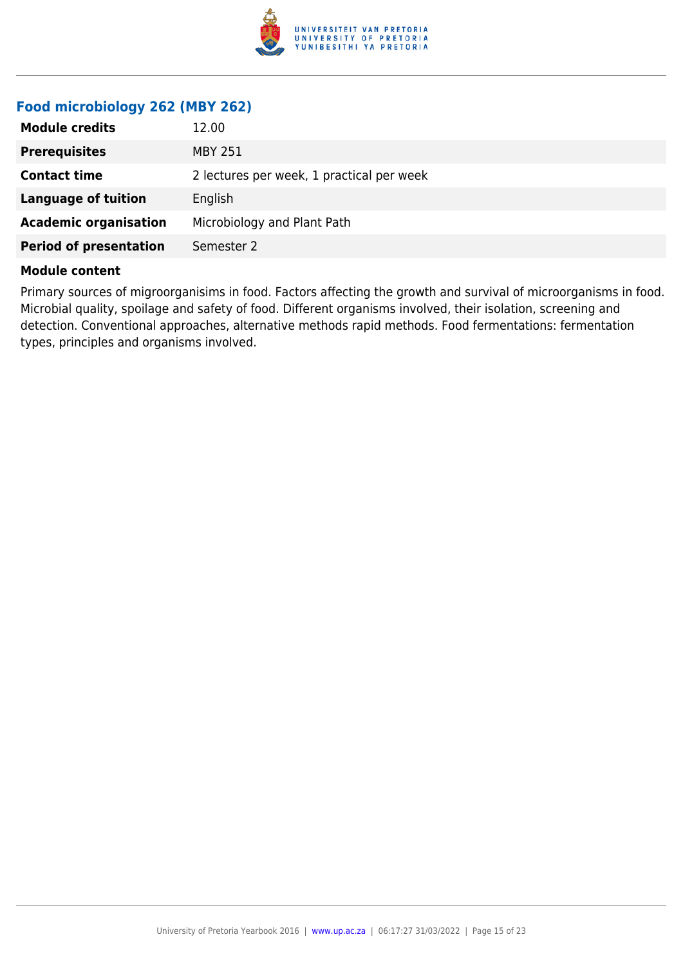

# **Food microbiology 262 (MBY 262)**

| <b>Prerequisites</b><br>MBY 251<br>2 lectures per week, 1 practical per week<br><b>Contact time</b><br><b>Language of tuition</b><br>English<br><b>Academic organisation</b><br>Microbiology and Plant Path | <b>Module credits</b> | 12.00 |
|-------------------------------------------------------------------------------------------------------------------------------------------------------------------------------------------------------------|-----------------------|-------|
|                                                                                                                                                                                                             |                       |       |
|                                                                                                                                                                                                             |                       |       |
|                                                                                                                                                                                                             |                       |       |
|                                                                                                                                                                                                             |                       |       |
| <b>Period of presentation</b><br>Semester 2                                                                                                                                                                 |                       |       |

#### **Module content**

Primary sources of migroorganisims in food. Factors affecting the growth and survival of microorganisms in food. Microbial quality, spoilage and safety of food. Different organisms involved, their isolation, screening and detection. Conventional approaches, alternative methods rapid methods. Food fermentations: fermentation types, principles and organisms involved.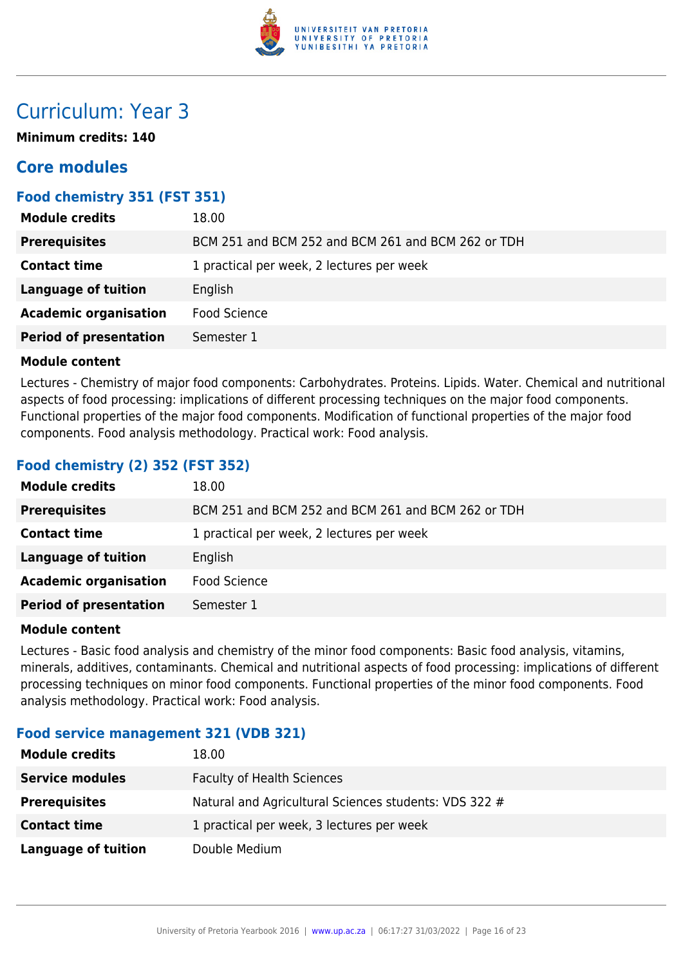

# Curriculum: Year 3

**Minimum credits: 140**

# **Core modules**

# **Food chemistry 351 (FST 351)**

| <b>Module credits</b>         | 18.00                                              |
|-------------------------------|----------------------------------------------------|
| <b>Prerequisites</b>          | BCM 251 and BCM 252 and BCM 261 and BCM 262 or TDH |
| <b>Contact time</b>           | 1 practical per week, 2 lectures per week          |
| Language of tuition           | English                                            |
| <b>Academic organisation</b>  | Food Science                                       |
| <b>Period of presentation</b> | Semester 1                                         |

#### **Module content**

Lectures - Chemistry of major food components: Carbohydrates. Proteins. Lipids. Water. Chemical and nutritional aspects of food processing: implications of different processing techniques on the major food components. Functional properties of the major food components. Modification of functional properties of the major food components. Food analysis methodology. Practical work: Food analysis.

# **Food chemistry (2) 352 (FST 352)**

| <b>Module credits</b>         | 18.00                                              |
|-------------------------------|----------------------------------------------------|
| <b>Prerequisites</b>          | BCM 251 and BCM 252 and BCM 261 and BCM 262 or TDH |
| <b>Contact time</b>           | 1 practical per week, 2 lectures per week          |
| <b>Language of tuition</b>    | English                                            |
| <b>Academic organisation</b>  | <b>Food Science</b>                                |
| <b>Period of presentation</b> | Semester 1                                         |
|                               |                                                    |

#### **Module content**

Lectures - Basic food analysis and chemistry of the minor food components: Basic food analysis, vitamins, minerals, additives, contaminants. Chemical and nutritional aspects of food processing: implications of different processing techniques on minor food components. Functional properties of the minor food components. Food analysis methodology. Practical work: Food analysis.

# **Food service management 321 (VDB 321)**

| <b>Module credits</b>      | 18.00                                                 |
|----------------------------|-------------------------------------------------------|
| <b>Service modules</b>     | <b>Faculty of Health Sciences</b>                     |
| <b>Prerequisites</b>       | Natural and Agricultural Sciences students: VDS 322 # |
| <b>Contact time</b>        | 1 practical per week, 3 lectures per week             |
| <b>Language of tuition</b> | Double Medium                                         |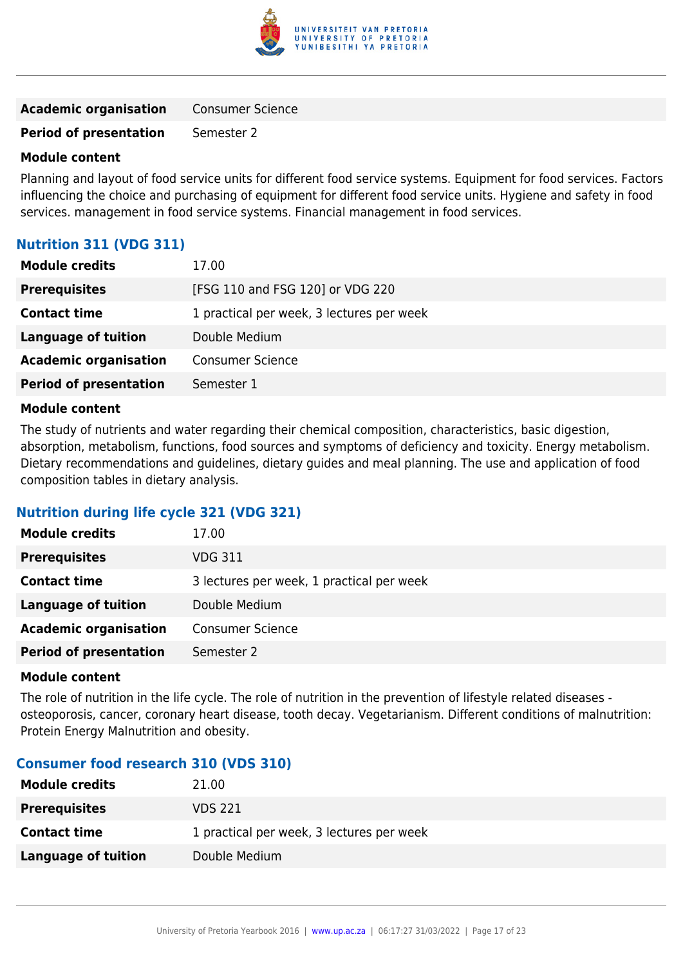

| <b>Academic organisation</b> | <b>Consumer Science</b> |
|------------------------------|-------------------------|
|                              |                         |

# **Period of presentation** Semester 2

#### **Module content**

Planning and layout of food service units for different food service systems. Equipment for food services. Factors influencing the choice and purchasing of equipment for different food service units. Hygiene and safety in food services. management in food service systems. Financial management in food services.

# **Nutrition 311 (VDG 311)**

| 17.00                                     |
|-------------------------------------------|
| [FSG 110 and FSG 120] or VDG 220          |
| 1 practical per week, 3 lectures per week |
| Double Medium                             |
| <b>Consumer Science</b>                   |
| Semester 1                                |
|                                           |

#### **Module content**

The study of nutrients and water regarding their chemical composition, characteristics, basic digestion, absorption, metabolism, functions, food sources and symptoms of deficiency and toxicity. Energy metabolism. Dietary recommendations and guidelines, dietary guides and meal planning. The use and application of food composition tables in dietary analysis.

# **Nutrition during life cycle 321 (VDG 321)**

| <b>Module credits</b>         | 17.00                                     |
|-------------------------------|-------------------------------------------|
| <b>Prerequisites</b>          | <b>VDG 311</b>                            |
| <b>Contact time</b>           | 3 lectures per week, 1 practical per week |
| Language of tuition           | Double Medium                             |
| <b>Academic organisation</b>  | <b>Consumer Science</b>                   |
| <b>Period of presentation</b> | Semester 2                                |

#### **Module content**

The role of nutrition in the life cycle. The role of nutrition in the prevention of lifestyle related diseases osteoporosis, cancer, coronary heart disease, tooth decay. Vegetarianism. Different conditions of malnutrition: Protein Energy Malnutrition and obesity.

# **Consumer food research 310 (VDS 310)**

| <b>Module credits</b> | 21.00                                     |
|-----------------------|-------------------------------------------|
| <b>Prerequisites</b>  | VDS 221                                   |
| <b>Contact time</b>   | 1 practical per week, 3 lectures per week |
| Language of tuition   | Double Medium                             |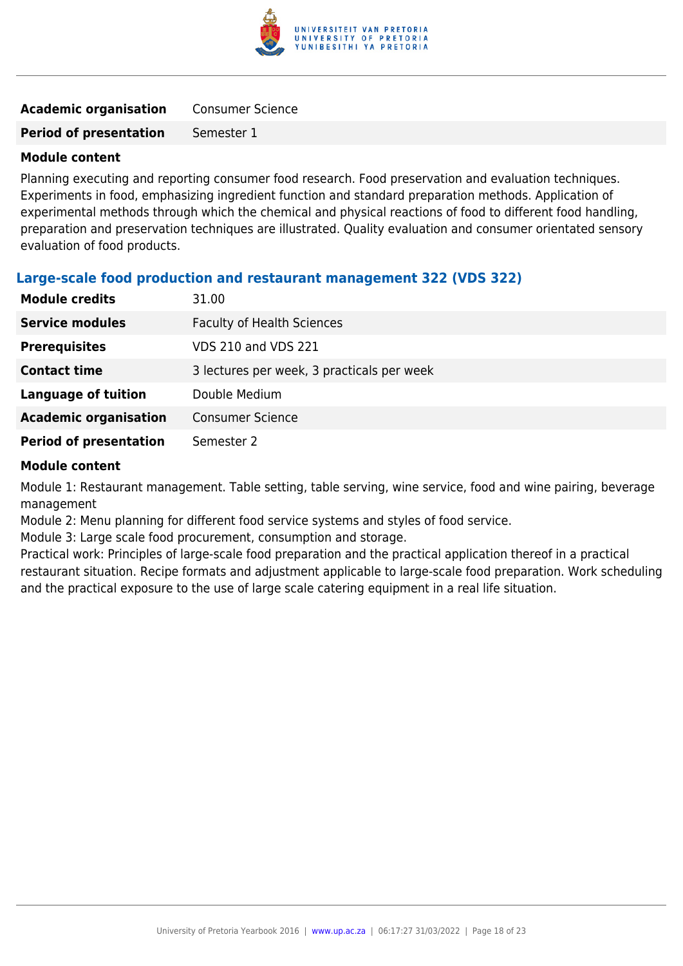

| <b>Academic organisation</b>  | <b>Consumer Science</b> |
|-------------------------------|-------------------------|
| <b>Period of presentation</b> | Semester 1              |

Planning executing and reporting consumer food research. Food preservation and evaluation techniques. Experiments in food, emphasizing ingredient function and standard preparation methods. Application of experimental methods through which the chemical and physical reactions of food to different food handling, preparation and preservation techniques are illustrated. Quality evaluation and consumer orientated sensory evaluation of food products.

#### **Large-scale food production and restaurant management 322 (VDS 322)**

| <b>Module credits</b>         | 31.00                                      |
|-------------------------------|--------------------------------------------|
| <b>Service modules</b>        | <b>Faculty of Health Sciences</b>          |
| <b>Prerequisites</b>          | <b>VDS 210 and VDS 221</b>                 |
| <b>Contact time</b>           | 3 lectures per week, 3 practicals per week |
| <b>Language of tuition</b>    | Double Medium                              |
| <b>Academic organisation</b>  | <b>Consumer Science</b>                    |
| <b>Period of presentation</b> | Semester 2                                 |

#### **Module content**

Module 1: Restaurant management. Table setting, table serving, wine service, food and wine pairing, beverage management

Module 2: Menu planning for different food service systems and styles of food service.

Module 3: Large scale food procurement, consumption and storage.

Practical work: Principles of large-scale food preparation and the practical application thereof in a practical restaurant situation. Recipe formats and adjustment applicable to large-scale food preparation. Work scheduling and the practical exposure to the use of large scale catering equipment in a real life situation.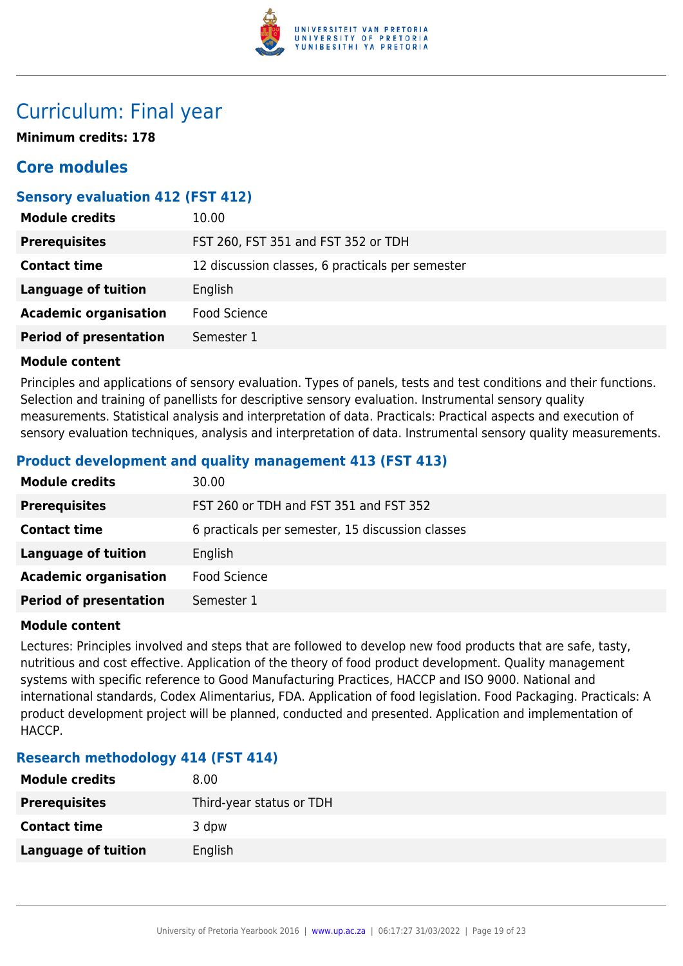

# Curriculum: Final year

**Minimum credits: 178**

# **Core modules**

# **Sensory evaluation 412 (FST 412)**

| <b>Module credits</b>         | 10.00                                            |
|-------------------------------|--------------------------------------------------|
| <b>Prerequisites</b>          | FST 260, FST 351 and FST 352 or TDH              |
| <b>Contact time</b>           | 12 discussion classes, 6 practicals per semester |
| Language of tuition           | English                                          |
| <b>Academic organisation</b>  | Food Science                                     |
| <b>Period of presentation</b> | Semester 1                                       |

#### **Module content**

Principles and applications of sensory evaluation. Types of panels, tests and test conditions and their functions. Selection and training of panellists for descriptive sensory evaluation. Instrumental sensory quality measurements. Statistical analysis and interpretation of data. Practicals: Practical aspects and execution of sensory evaluation techniques, analysis and interpretation of data. Instrumental sensory quality measurements.

# **Product development and quality management 413 (FST 413)**

| <b>Module credits</b>         | 30.00                                            |
|-------------------------------|--------------------------------------------------|
| <b>Prerequisites</b>          | FST 260 or TDH and FST 351 and FST 352           |
| <b>Contact time</b>           | 6 practicals per semester, 15 discussion classes |
| <b>Language of tuition</b>    | English                                          |
| <b>Academic organisation</b>  | Food Science                                     |
| <b>Period of presentation</b> | Semester 1                                       |

#### **Module content**

Lectures: Principles involved and steps that are followed to develop new food products that are safe, tasty, nutritious and cost effective. Application of the theory of food product development. Quality management systems with specific reference to Good Manufacturing Practices, HACCP and ISO 9000. National and international standards, Codex Alimentarius, FDA. Application of food legislation. Food Packaging. Practicals: A product development project will be planned, conducted and presented. Application and implementation of HACCP.

# **Research methodology 414 (FST 414)**

| <b>Module credits</b>      | 8.00                     |
|----------------------------|--------------------------|
| <b>Prerequisites</b>       | Third-year status or TDH |
| <b>Contact time</b>        | 3 dpw                    |
| <b>Language of tuition</b> | English                  |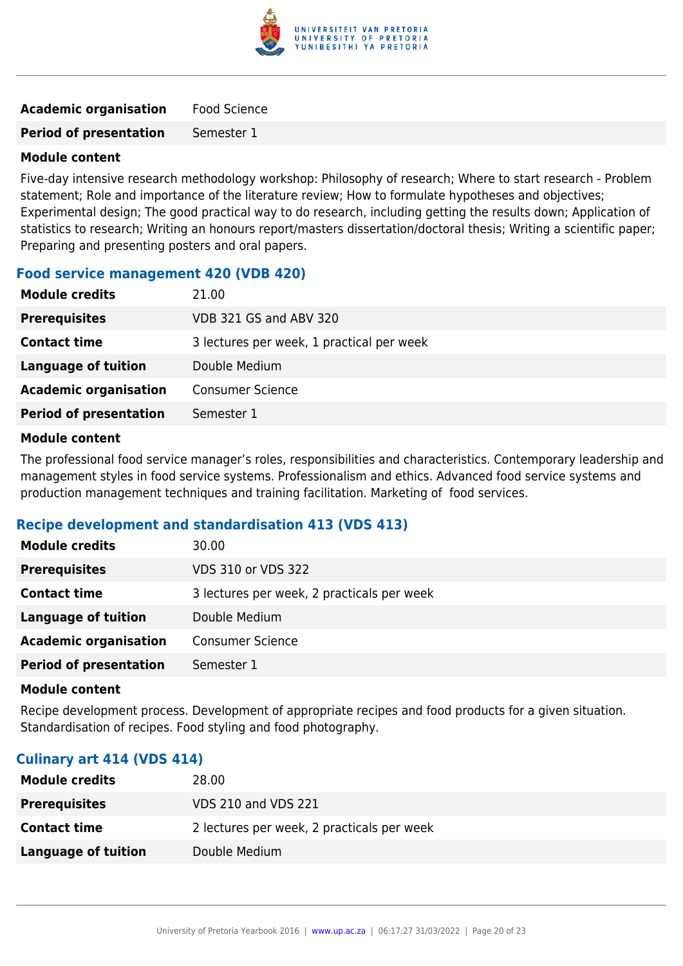

| <b>Academic organisation</b> | Food Science |
|------------------------------|--------------|
|                              |              |

**Period of presentation** Semester 1

#### **Module content**

Five-day intensive research methodology workshop: Philosophy of research; Where to start research - Problem statement; Role and importance of the literature review; How to formulate hypotheses and objectives; Experimental design; The good practical way to do research, including getting the results down; Application of statistics to research; Writing an honours report/masters dissertation/doctoral thesis; Writing a scientific paper; Preparing and presenting posters and oral papers.

#### **Food service management 420 (VDB 420)**

| <b>Module credits</b>         | 21.00                                     |
|-------------------------------|-------------------------------------------|
| <b>Prerequisites</b>          | VDB 321 GS and ABV 320                    |
| <b>Contact time</b>           | 3 lectures per week, 1 practical per week |
| Language of tuition           | Double Medium                             |
| <b>Academic organisation</b>  | <b>Consumer Science</b>                   |
| <b>Period of presentation</b> | Semester 1                                |

#### **Module content**

The professional food service manager's roles, responsibilities and characteristics. Contemporary leadership and management styles in food service systems. Professionalism and ethics. Advanced food service systems and production management techniques and training facilitation. Marketing of food services.

#### **Recipe development and standardisation 413 (VDS 413)**

| <b>Module credits</b>         | 30.00                                      |
|-------------------------------|--------------------------------------------|
| <b>Prerequisites</b>          | VDS 310 or VDS 322                         |
| <b>Contact time</b>           | 3 lectures per week, 2 practicals per week |
| <b>Language of tuition</b>    | Double Medium                              |
| <b>Academic organisation</b>  | <b>Consumer Science</b>                    |
| <b>Period of presentation</b> | Semester 1                                 |

#### **Module content**

Recipe development process. Development of appropriate recipes and food products for a given situation. Standardisation of recipes. Food styling and food photography.

#### **Culinary art 414 (VDS 414)**

| <b>Module credits</b> | 28.00                                      |
|-----------------------|--------------------------------------------|
| <b>Prerequisites</b>  | VDS 210 and VDS 221                        |
| <b>Contact time</b>   | 2 lectures per week, 2 practicals per week |
| Language of tuition   | Double Medium                              |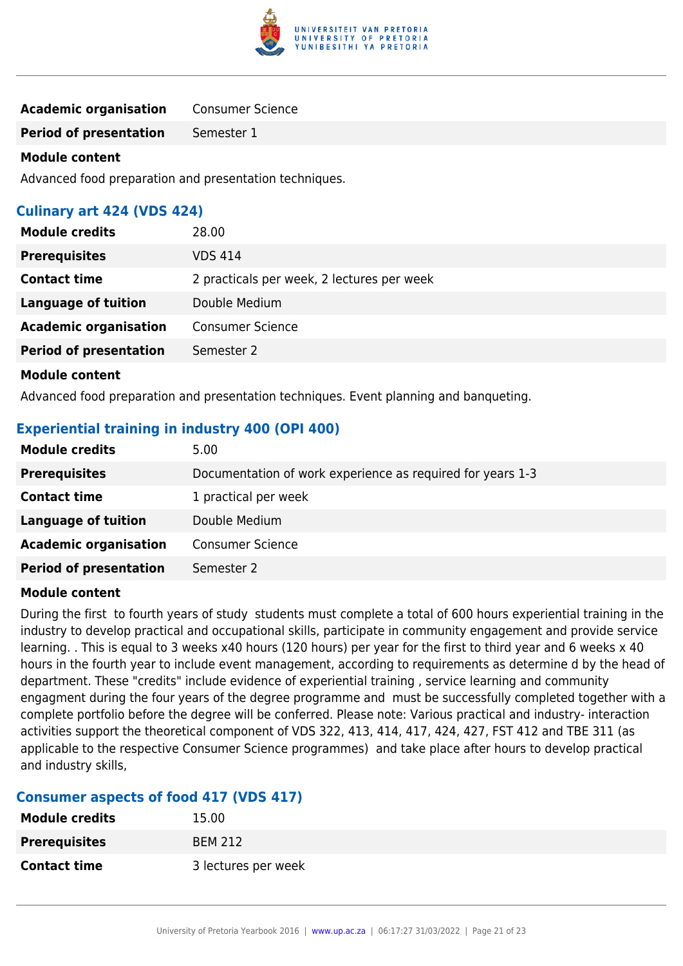

| <b>Academic organisation</b> | <b>Consumer Science</b> |
|------------------------------|-------------------------|
|------------------------------|-------------------------|

**Period of presentation** Semester 1

#### **Module content**

Advanced food preparation and presentation techniques.

# **Culinary art 424 (VDS 424)**

| <b>Module credits</b>         | 28.00                                      |
|-------------------------------|--------------------------------------------|
| <b>Prerequisites</b>          | VDS 414                                    |
| <b>Contact time</b>           | 2 practicals per week, 2 lectures per week |
| <b>Language of tuition</b>    | Double Medium                              |
| <b>Academic organisation</b>  | <b>Consumer Science</b>                    |
| <b>Period of presentation</b> | Semester 2                                 |
| <b>Module content</b>         |                                            |

Advanced food preparation and presentation techniques. Event planning and banqueting.

#### **Experiential training in industry 400 (OPI 400)**

| <b>Module credits</b>         | 5.00                                                       |
|-------------------------------|------------------------------------------------------------|
| <b>Prerequisites</b>          | Documentation of work experience as required for years 1-3 |
| <b>Contact time</b>           | 1 practical per week                                       |
| <b>Language of tuition</b>    | Double Medium                                              |
| <b>Academic organisation</b>  | <b>Consumer Science</b>                                    |
| <b>Period of presentation</b> | Semester 2                                                 |

#### **Module content**

During the first to fourth years of study students must complete a total of 600 hours experiential training in the industry to develop practical and occupational skills, participate in community engagement and provide service learning. . This is equal to 3 weeks x40 hours (120 hours) per year for the first to third year and 6 weeks x 40 hours in the fourth year to include event management, according to requirements as determine d by the head of department. These "credits" include evidence of experiential training , service learning and community engagment during the four years of the degree programme and must be successfully completed together with a complete portfolio before the degree will be conferred. Please note: Various practical and industry- interaction activities support the theoretical component of VDS 322, 413, 414, 417, 424, 427, FST 412 and TBE 311 (as applicable to the respective Consumer Science programmes) and take place after hours to develop practical and industry skills,

# **Consumer aspects of food 417 (VDS 417)**

| <b>Module credits</b> | 15.00               |
|-----------------------|---------------------|
| <b>Prerequisites</b>  | <b>BEM 212</b>      |
| <b>Contact time</b>   | 3 lectures per week |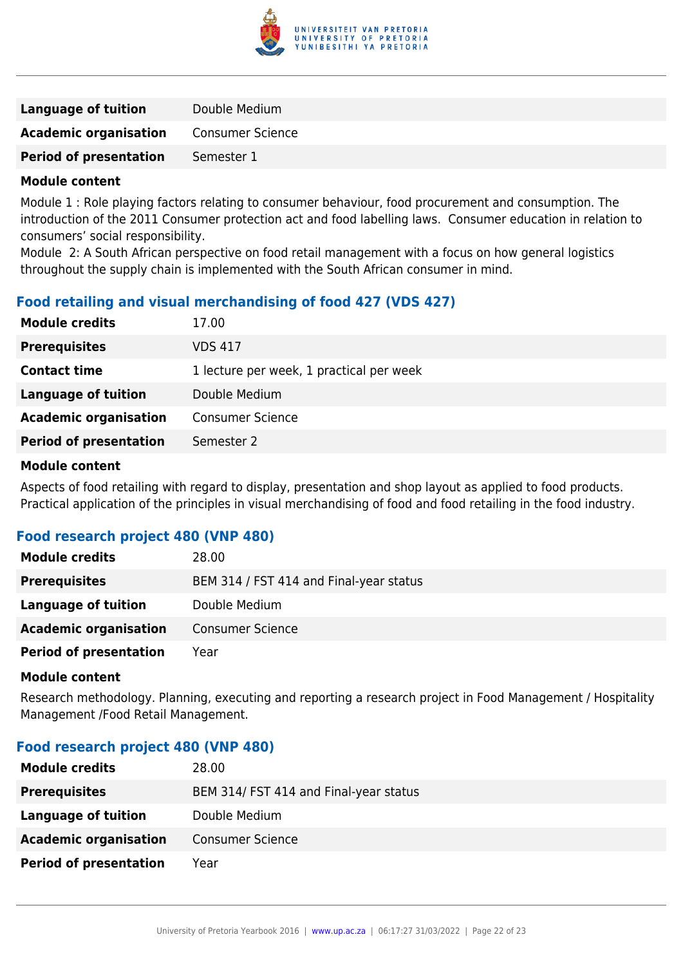

| Language of tuition           | Double Medium    |
|-------------------------------|------------------|
| <b>Academic organisation</b>  | Consumer Science |
| <b>Period of presentation</b> | Semester 1       |
|                               |                  |

Module 1 : Role playing factors relating to consumer behaviour, food procurement and consumption. The introduction of the 2011 Consumer protection act and food labelling laws. Consumer education in relation to consumers' social responsibility.

Module 2: A South African perspective on food retail management with a focus on how general logistics throughout the supply chain is implemented with the South African consumer in mind.

# **Food retailing and visual merchandising of food 427 (VDS 427)**

| <b>Module credits</b>         | 17.00                                    |
|-------------------------------|------------------------------------------|
| <b>Prerequisites</b>          | <b>VDS 417</b>                           |
| <b>Contact time</b>           | 1 lecture per week, 1 practical per week |
| Language of tuition           | Double Medium                            |
| <b>Academic organisation</b>  | <b>Consumer Science</b>                  |
| <b>Period of presentation</b> | Semester 2                               |
|                               |                                          |

#### **Module content**

Aspects of food retailing with regard to display, presentation and shop layout as applied to food products. Practical application of the principles in visual merchandising of food and food retailing in the food industry.

#### **Food research project 480 (VNP 480)**

| <b>Module credits</b>         | 28.00                                   |
|-------------------------------|-----------------------------------------|
| <b>Prerequisites</b>          | BEM 314 / FST 414 and Final-year status |
| Language of tuition           | Double Medium                           |
| <b>Academic organisation</b>  | <b>Consumer Science</b>                 |
| <b>Period of presentation</b> | Year                                    |

#### **Module content**

Research methodology. Planning, executing and reporting a research project in Food Management / Hospitality Management /Food Retail Management.

#### **Food research project 480 (VNP 480)**

| <b>Module credits</b>         | 28.00                                  |
|-------------------------------|----------------------------------------|
| <b>Prerequisites</b>          | BEM 314/ FST 414 and Final-year status |
| Language of tuition           | Double Medium                          |
| <b>Academic organisation</b>  | <b>Consumer Science</b>                |
| <b>Period of presentation</b> | Year                                   |